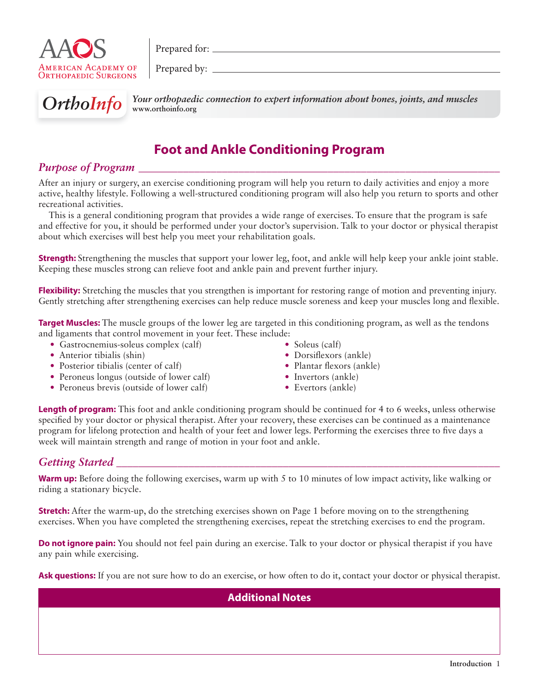

Prepared for:

Prepared by:



**OrthoInfo** Your orthopaedic connection to expert information about bones, joints, and muscles **www.orthoinfo.org**

# **Foot and Ankle Conditioning Program**

# *Purpose of Program*

After an injury or surgery, an exercise conditioning program will help you return to daily activities and enjoy a more active, healthy lifestyle. Following a well-structured conditioning program will also help you return to sports and other recreational activities.

This is a general conditioning program that provides a wide range of exercises. To ensure that the program is safe and effective for you, it should be performed under your doctor's supervision. Talk to your doctor or physical therapist about which exercises will best help you meet your rehabilitation goals.

**Strength:** Strengthening the muscles that support your lower leg, foot, and ankle will help keep your ankle joint stable. Keeping these muscles strong can relieve foot and ankle pain and prevent further injury.

**Flexibility:** Stretching the muscles that you strengthen is important for restoring range of motion and preventing injury. Gently stretching after strengthening exercises can help reduce muscle soreness and keep your muscles long and flexible.

**Target Muscles:** The muscle groups of the lower leg are targeted in this conditioning program, as well as the tendons and ligaments that control movement in your feet. These include:

- Gastrocnemius-soleus complex (calf)
- Anterior tibialis (shin)
- Posterior tibialis (center of calf)
- Peroneus longus (outside of lower calf)
- Peroneus brevis (outside of lower calf)
- Soleus (calf)
- Dorsiflexors  $(ankle)$
- $\bullet$  Plantar flexors (ankle)
- Invertors (ankle)
- Evertors (ankle)

**Length of program:** This foot and ankle conditioning program should be continued for 4 to 6 weeks, unless otherwise specified by your doctor or physical therapist. After your recovery, these exercises can be continued as a maintenance program for lifelong protection and health of your feet and lower legs. Performing the exercises three to five days a week will maintain strength and range of motion in your foot and ankle.

# *Getting Started*

**Warm up:** Before doing the following exercises, warm up with 5 to 10 minutes of low impact activity, like walking or riding a stationary bicycle.

**Stretch:** After the warm-up, do the stretching exercises shown on Page 1 before moving on to the strengthening exercises. When you have completed the strengthening exercises, repeat the stretching exercises to end the program.

**Do not ignore pain:** You should not feel pain during an exercise. Talk to your doctor or physical therapist if you have any pain while exercising.

**Ask questions:** If you are not sure how to do an exercise, or how often to do it, contact your doctor or physical therapist.

## **Additional Notes**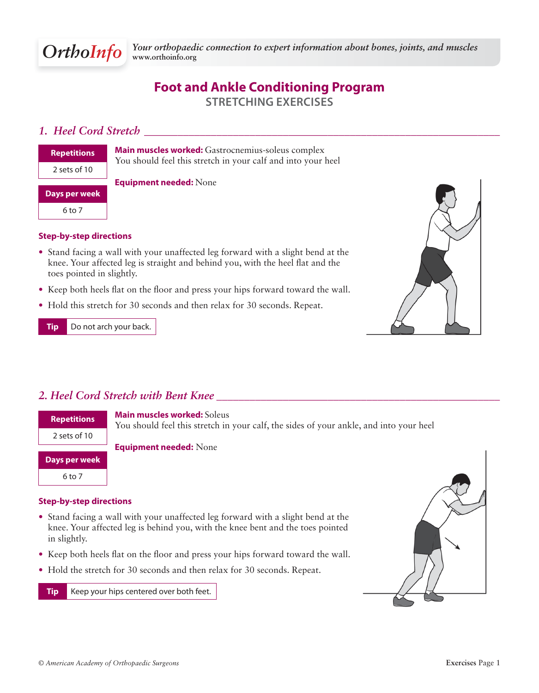

# **Foot and Ankle Conditioning Program STRETCHING EXERCISES**

### *1. Heel Cord Stretch <i>1. Heel Cord Stretch <i>1.**Algoen**<b><i>1.**Algoen**<b><i>1. Algoen <i>1.**Algoen**Algoen**Algoen**Algoen**Algoen**Algoen**Algoen**Algoen**Algoen**Algoen**Algoen**Algoen**Algo*

| <b>Repetitions</b> |
|--------------------|
| 2 sets of 10       |
|                    |
| Days per week      |

**Main muscles worked:** Gastrocnemius-soleus complex You should feel this stretch in your calf and into your heel

### **Equipment needed:** None

### **Step-by-step directions**

- Stand facing a wall with your unaffected leg forward with a slight bend at the knee. Your affected leg is straight and behind you, with the heel flat and the toes pointed in slightly.
- Keep both heels flat on the floor and press your hips forward toward the wall.
- Hold this stretch for 30 seconds and then relax for 30 seconds. Repeat.

**Tip** Do not arch your back.



### *2. Heel Cord Stretch with Bent Knee \_\_\_\_\_\_\_\_\_\_\_\_\_\_\_\_\_\_\_\_\_\_\_\_\_\_\_\_\_\_\_\_\_\_\_\_\_\_\_\_\_\_\_\_\_\_\_\_\_\_\_*

| <b>Repetitions</b> | <b>Main muscles worked: Soleus</b><br>You should feel this stretch in your calf, the sides of your ankle, and into your heel |
|--------------------|------------------------------------------------------------------------------------------------------------------------------|
| 2 sets of 10       |                                                                                                                              |
| Days per week      | <b>Equipment needed: None</b>                                                                                                |
|                    |                                                                                                                              |

6 to 7

# **Step-by-step directions**

- Stand facing a wall with your unaffected leg forward with a slight bend at the knee. Your affected leg is behind you, with the knee bent and the toes pointed in slightly.
- Keep both heels flat on the floor and press your hips forward toward the wall.
- Hold the stretch for 30 seconds and then relax for 30 seconds. Repeat.

**Tip** Keep your hips centered over both feet.

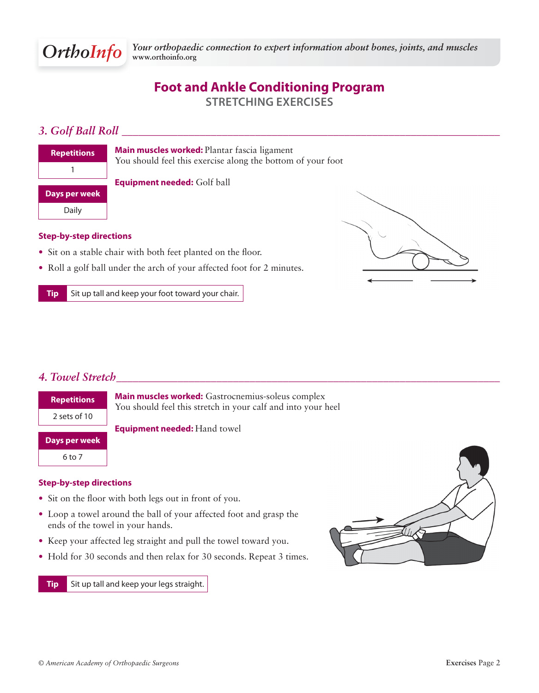# **Foot and Ankle Conditioning Program STRETCHING EXERCISES**

# *3. Golf Ball Roll \_\_\_\_\_\_\_\_\_\_\_\_\_\_\_\_\_\_\_\_\_\_\_\_\_\_\_\_\_\_\_\_\_\_\_\_\_\_\_\_\_\_\_\_\_\_\_\_\_\_\_\_\_\_\_\_\_\_\_\_\_\_\_\_\_\_\_\_*

| <b>Repetitions</b> |
|--------------------|
|                    |
| Days per week      |
| Daily              |

**Main muscles worked:** Plantar fascia ligament You should feel this exercise along the bottom of your foot

**Equipment needed:** Golf ball

### **Step-by-step directions**

- $\bullet$  Sit on a stable chair with both feet planted on the floor.
- Roll a golf ball under the arch of your affected foot for 2 minutes.

**Tip** Sit up tall and keep your foot toward your chair.



### *4. Towel Stretch \_\_\_\_\_\_\_\_\_\_\_\_\_\_\_\_\_\_\_\_\_\_\_\_\_\_\_\_\_\_\_\_\_\_\_\_\_\_\_\_\_\_\_\_\_\_\_\_\_\_\_\_\_\_\_\_\_\_\_\_\_\_\_\_\_\_\_\_\_*



### **Step-by-step directions**

- Sit on the floor with both legs out in front of you.
- Loop a towel around the ball of your affected foot and grasp the ends of the towel in your hands.
- Keep your affected leg straight and pull the towel toward you.
- Hold for 30 seconds and then relax for 30 seconds. Repeat 3 times.

**Tip** Sit up tall and keep your legs straight.

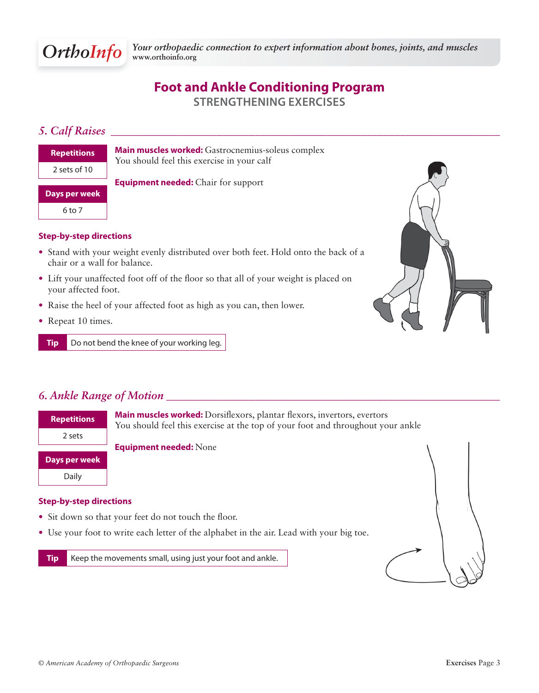exercise at the top of your foot and throughout your ankle

# **Foot and Ankle Conditioning Program STRENGTHENING EXERCISES**

## *5. Calf Raises \_\_\_\_\_\_\_\_\_\_\_\_\_\_\_\_\_\_\_\_\_\_\_\_\_\_\_\_\_\_\_\_\_\_\_\_\_\_\_\_\_\_\_\_\_\_\_\_\_\_\_\_\_\_\_\_\_\_\_\_\_\_\_\_\_\_\_\_\_\_*

| <b>Repetitions</b> |
|--------------------|
| 2 sets of 10       |

**Main muscles worked:** Gastrocnemius-soleus complex You should feel this exercise in your calf

**Days per week**

6 to 7

### **Step-by-step directions**

- Stand with your weight evenly distributed over both feet. Hold onto the back of a chair or a wall for balance.
- Lift your unaffected foot off of the floor so that all of your weight is placed on your affected foot.

**Equipment needed:** Chair for support

- Raise the heel of your affected foot as high as you can, then lower.
- Repeat 10 times.

**Tip** Do not bend the knee of your working leg.



## *6. Ankle Range of Motion \_\_\_\_\_\_\_\_\_\_\_\_\_\_\_\_\_\_\_\_\_\_\_\_\_\_\_\_\_\_\_\_\_\_\_\_\_\_\_\_\_\_\_\_\_\_\_\_\_\_\_\_\_\_\_\_\_\_\_\_*

| <b>Repetitions</b> | Main muscles worked: Dorsiflexors, plantar flexors, invertors, evertors<br>You should feel this exercise at the top of your foot and throughout yo |
|--------------------|----------------------------------------------------------------------------------------------------------------------------------------------------|
| 2 sets             |                                                                                                                                                    |
|                    | <b>Equipment needed: None</b>                                                                                                                      |
| Days per week      |                                                                                                                                                    |
| Daily              |                                                                                                                                                    |

### **Step-by-step directions**

- Sit down so that your feet do not touch the floor.
- Use your foot to write each letter of the alphabet in the air. Lead with your big toe.

**Tip** Keep the movements small, using just your foot and ankle.

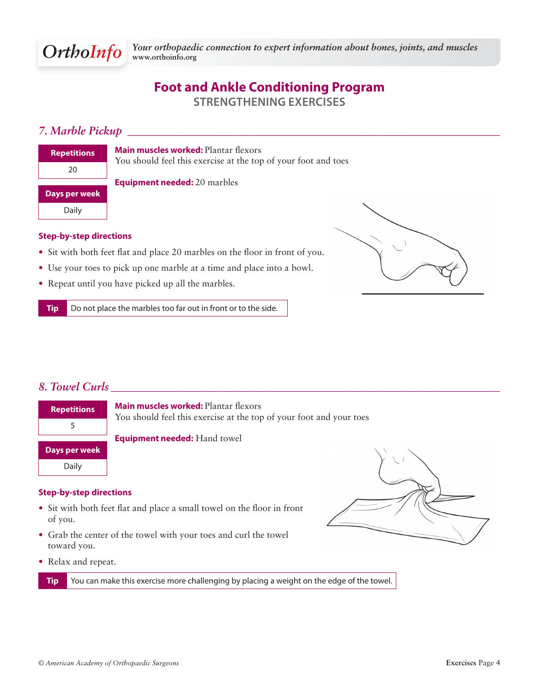# **Foot and Ankle Conditioning Program STRENGTHENING EXERCISES**

# *7. Marble Pickup \_\_\_\_\_\_\_\_\_\_\_\_\_\_\_\_\_\_\_\_\_\_\_\_\_\_\_\_\_\_\_\_\_\_\_\_\_\_\_\_\_\_\_\_\_\_\_\_\_\_\_\_\_\_\_\_\_\_\_\_\_\_\_\_\_\_\_*

| <b>Repetitions</b> |
|--------------------|
| 20                 |
| Days per week      |
| Daily              |

**Main muscles worked: Plantar flexors** You should feel this exercise at the top of your foot and toes

**Equipment needed:** 20 marbles

### **Step-by-step directions**

- Sit with both feet flat and place 20 marbles on the floor in front of you.
- Use your toes to pick up one marble at a time and place into a bowl.
- Repeat until you have picked up all the marbles.

**Tip** Do not place the marbles too far out in front or to the side.



# *8. Towel Curls \_\_\_\_\_\_\_\_\_\_\_\_\_\_\_\_\_\_\_\_\_\_\_\_\_\_\_\_\_\_\_\_\_\_\_\_\_\_\_\_\_\_\_\_\_\_\_\_\_\_\_\_\_\_\_\_\_\_\_\_\_\_\_\_\_\_\_\_\_\_*



### **Step-by-step directions**

- Sit with both feet flat and place a small towel on the floor in front of you.
- Grab the center of the towel with your toes and curl the towel toward you.
- Relax and repeat.

**Tip** You can make this exercise more challenging by placing a weight on the edge of the towel.